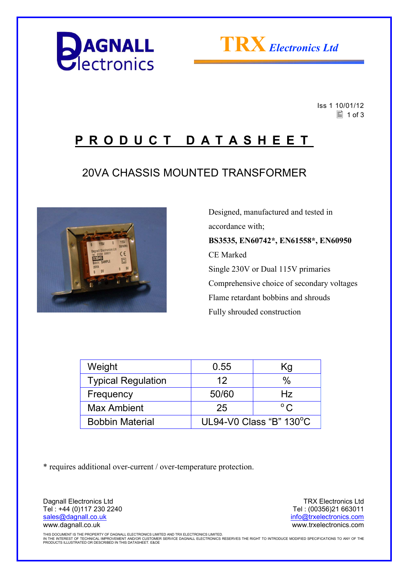



 Iss 1 10/01/12  $\equiv$  1 of 3

## **P R O D U C T D A T A S H E E T**

### 20VA CHASSIS MOUNTED TRANSFORMER



 Designed, manufactured and tested in accordance with; **BS3535, EN60742\*, EN61558\*, EN60950**  CE Marked Single 230V or Dual 115V primaries Comprehensive choice of secondary voltages Flame retardant bobbins and shrouds Fully shrouded construction

| Weight                    | 0.55                              | Κg           |  |
|---------------------------|-----------------------------------|--------------|--|
| <b>Typical Regulation</b> | 12                                | %            |  |
| Frequency                 | 50/60                             | Hz           |  |
| <b>Max Ambient</b>        | 25                                | $^{\circ}$ C |  |
| <b>Bobbin Material</b>    | UL94-V0 Class "B" $130^{\circ}$ C |              |  |

\* requires additional over-current / over-temperature protection.

Dagnall Electronics Ltd Tel : +44 (0)117 230 2240 sales@dagnall.co.uk www.dagnall.co.uk

TRX Electronics Ltd Tel : (00356)21 663011 info@trxelectronics.com www.trxelectronics.com

THIS DOCUMENT IS THE PROPERTY OF DAGNALL ELECTRONICS LIMITED AND TRX ELECTRONICS LIMITED.<br>IN THE INTEREST OF TECHNICAL IMPROVEMENT AND/OR CUSTOMER SERVICE DAGNALL ELECTRONICS RESERVES THE RIGHT TO INTRODUCE MODIFIED SPECIF PRODUCTS ILLUSTRATED OR DESCRIBED IN THIS DATASHEET. E&OE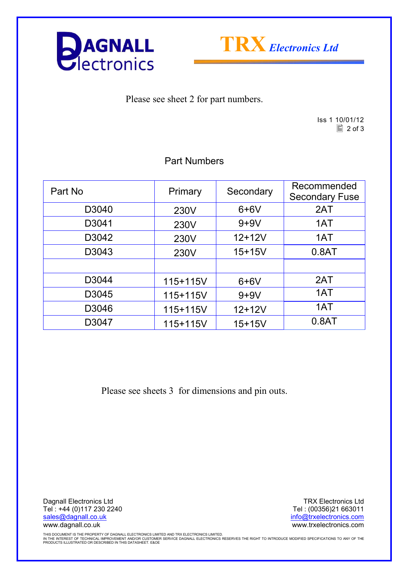



Please see sheet 2 for part numbers.

Iss 1 10/01/12  $\boxed{2}$  of 3

#### Part Numbers

| Part No | Primary  | Secondary  | Recommended<br><b>Secondary Fuse</b> |
|---------|----------|------------|--------------------------------------|
| D3040   | 230V     | $6+6V$     | 2AT                                  |
| D3041   | 230V     | $9+9V$     | 1AT                                  |
| D3042   | 230V     | $12+12V$   | 1AT                                  |
| D3043   | 230V     | $15 + 15V$ | 0.8AT                                |
|         |          |            |                                      |
| D3044   | 115+115V | $6+6V$     | 2AT                                  |
| D3045   | 115+115V | $9+9V$     | 1AT                                  |
| D3046   | 115+115V | $12 + 12V$ | 1AT                                  |
| D3047   | 115+115V | $15+15V$   | 0.8AT                                |

Please see sheets 3 for dimensions and pin outs.

Dagnall Electronics Ltd Tel : +44 (0)117 230 2240 sales@dagnall.co.uk www.dagnall.co.uk

TRX Electronics Ltd Tel : (00356)21 663011 info@trxelectronics.com www.trxelectronics.com

THIS DOCUMENT IS THE PROPERTY OF DAGNALL ELECTRONICS LIMITED AND TRX ELECTRONICS LIMITED.<br>IN THE INTEREST OF TECHNICAL IMPROVEMENT AND/OR CUSTOMER SERVICE DAGNALL ELECTRONICS RESERVES THE RIGHT TO INTRODUCE MODIFIED SPECIF